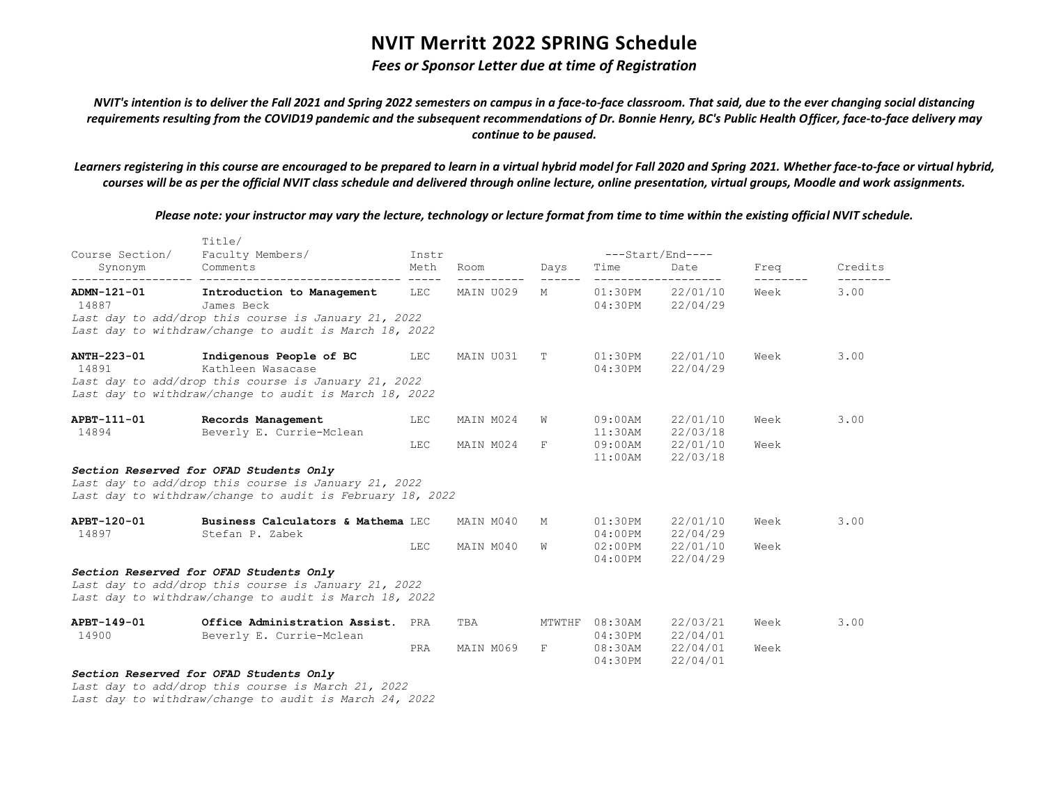### *Fees or Sponsor Letter due at time of Registration*

*NVIT's intention is to deliver the Fall 2021 and Spring 2022 semesters on campus in a face-to-face classroom. That said, due to the ever changing social distancing requirements resulting from the COVID19 pandemic and the subsequent recommendations of Dr. Bonnie Henry, BC's Public Health Officer, face-to-face delivery may continue to be paused.*

*Learners registering in this course are encouraged to be prepared to learn in a virtual hybrid model for Fall 2020 and Spring 2021. Whether face-to-face or virtual hybrid, courses will be as per the official NVIT class schedule and delivered through online lecture, online presentation, virtual groups, Moodle and work assignments.*

*Please note: your instructor may vary the lecture, technology or lecture format from time to time within the existing official NVIT schedule.*

| Course Section/      | Title/<br>Faculty Members/                                                                                                                                         | Instr      |                     |            |                              |                                      | ---Start/End---- |         |  |  |
|----------------------|--------------------------------------------------------------------------------------------------------------------------------------------------------------------|------------|---------------------|------------|------------------------------|--------------------------------------|------------------|---------|--|--|
| Synonym              | Comments                                                                                                                                                           | Meth       | Room<br>----------- | Days       | Time                         | Date<br>-------------------          | Freq             | Credits |  |  |
| ADMN-121-01<br>14887 | Introduction to Management<br>James Beck<br>Last day to add/drop this course is January 21, 2022<br>Last day to withdraw/change to audit is March 18, 2022         | LEC        | MAIN U029           | M          |                              | 01:30PM 22/01/10<br>04:30PM 22/04/29 | Week             | 3.00    |  |  |
| ANTH-223-01<br>14891 | Indigenous People of BC LEC<br>Kathleen Wasacase<br>Last day to add/drop this course is January 21, 2022<br>Last day to withdraw/change to audit is March 18, 2022 |            | MAIN U031           | T.         | $01:30$ PM<br>04:30PM        | 22/01/10<br>22/04/29                 | Week             | 3.00    |  |  |
| APBT-111-01<br>14894 | Records Management<br>Beverly E. Currie-Mclean                                                                                                                     | <b>LEC</b> | MAIN M024           | W          | $09:00$ AM<br>$11:30$ AM     | 22/01/10<br>22/03/18                 | Week             | 3.00    |  |  |
|                      | <b>LEC</b>                                                                                                                                                         | MAIN M024  | $\overline{F}$      | $11:00$ AM | 09:00AM 22/01/10<br>22/03/18 | Week                                 |                  |         |  |  |
|                      | Section Reserved for OFAD Students Only<br>Last day to add/drop this course is January 21, 2022<br>Last day to withdraw/change to audit is February 18, 2022       |            |                     |            |                              |                                      |                  |         |  |  |
| APBT-120-01<br>14897 | Business Calculators & Mathema LEC<br>Stefan P. Zabek                                                                                                              |            | MAIN M040           | M          | $01:30$ PM<br>$04:00$ PM     | 22/01/10<br>22/04/29                 | Week             | 3.00    |  |  |
|                      |                                                                                                                                                                    | LEC        | MAIN M040           | W          | $02:00$ PM<br>04:00PM        | 22/01/10<br>22/04/29                 | Week             |         |  |  |
|                      | Section Reserved for OFAD Students Only<br>Last day to add/drop this course is January 21, 2022<br>Last day to withdraw/change to audit is March 18, 2022          |            |                     |            |                              |                                      |                  |         |  |  |
| APBT-149-01<br>14900 | Office Administration Assist.<br>Beverly E. Currie-Mclean                                                                                                          | PRA        | TBA                 |            | MTWTHF 08:30AM<br>$04:30$ PM | 22/03/21<br>22/04/01                 | Week             | 3.00    |  |  |
|                      |                                                                                                                                                                    | PRA        | MAIN M069           | F          | 04:30PM                      | 08:30AM 22/04/01<br>22/04/01         | Week             |         |  |  |
|                      | Section Reserved for OFAD Students Only<br>Last day to add/drop this course is March 21, 2022                                                                      |            |                     |            |                              |                                      |                  |         |  |  |

*Last day to withdraw/change to audit is March 24, 2022*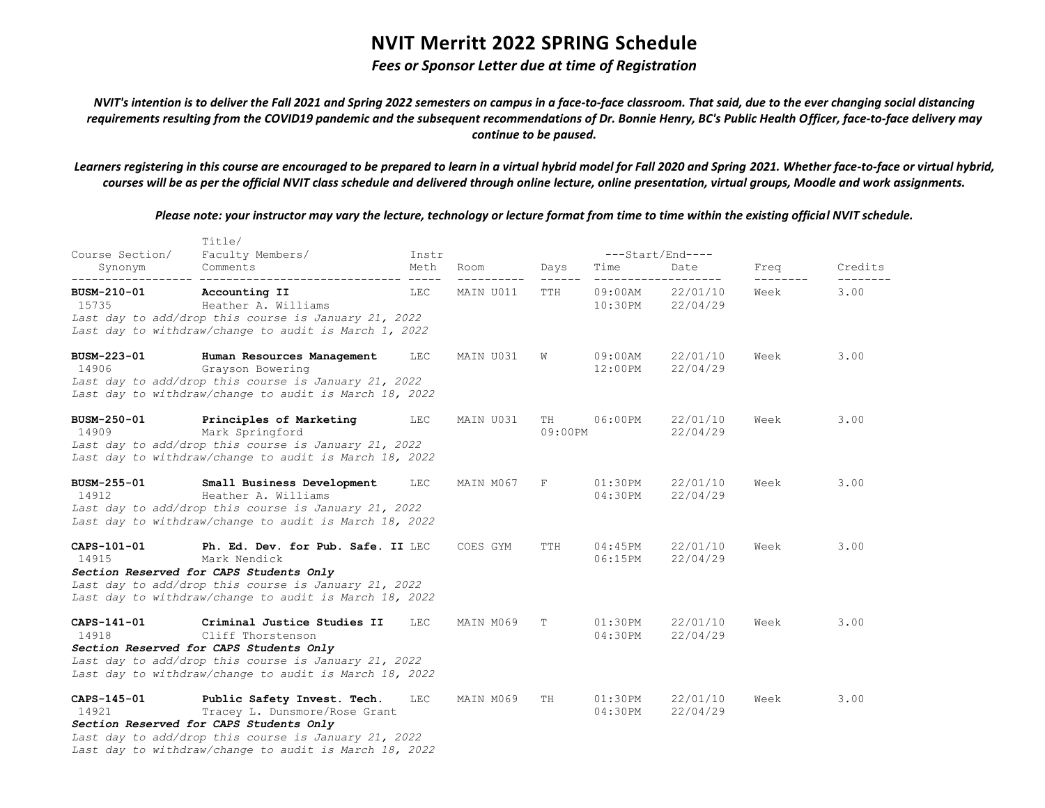### *Fees or Sponsor Letter due at time of Registration*

*NVIT's intention is to deliver the Fall 2021 and Spring 2022 semesters on campus in a face-to-face classroom. That said, due to the ever changing social distancing requirements resulting from the COVID19 pandemic and the subsequent recommendations of Dr. Bonnie Henry, BC's Public Health Officer, face-to-face delivery may continue to be paused.*

*Learners registering in this course are encouraged to be prepared to learn in a virtual hybrid model for Fall 2020 and Spring 2021. Whether face-to-face or virtual hybrid, courses will be as per the official NVIT class schedule and delivered through online lecture, online presentation, virtual groups, Moodle and work assignments.*

| Course Section/      | Title/<br>Faculty Members/                                                                                                                                                                                                | Instr      |           |                      |                          | ---Start/End----     |      |         |
|----------------------|---------------------------------------------------------------------------------------------------------------------------------------------------------------------------------------------------------------------------|------------|-----------|----------------------|--------------------------|----------------------|------|---------|
| Synonym              | Comments                                                                                                                                                                                                                  | Meth       | Room      | Days                 | Time                     | Date                 | Freq | Credits |
| BUSM-210-01<br>15735 | Accounting II<br>Heather A. Williams<br>Last day to add/drop this course is January 21, 2022<br>Last day to withdraw/change to audit is March 1, 2022                                                                     | <b>LEC</b> | MAIN U011 | $- - - - - -$<br>TTH | $09:00$ AM<br>$10:30$ PM | 22/01/10<br>22/04/29 | Week | 3.00    |
| BUSM-223-01<br>14906 | Human Resources Management<br>Grayson Bowering<br>Last day to add/drop this course is January 21, 2022<br>Last day to withdraw/change to audit is March 18, 2022                                                          | LEC        | MAIN U031 | W                    | $09:00$ AM<br>$12:00$ PM | 22/01/10<br>22/04/29 | Week | 3.00    |
| BUSM-250-01<br>14909 | Principles of Marketing<br>Mark Springford<br>Last day to add/drop this course is January 21, 2022<br>Last day to withdraw/change to audit is March 18, 2022                                                              | LEC        | MAIN U031 | TH<br>09:00PM        | 06:00PM                  | 22/01/10<br>22/04/29 | Week | 3.00    |
| BUSM-255-01<br>14912 | Small Business Development<br>Heather A. Williams<br>Last day to add/drop this course is January 21, 2022<br>Last day to withdraw/change to audit is March 18, 2022                                                       | LEC        | MAIN M067 | F                    | $01:30$ PM<br>04:30PM    | 22/01/10<br>22/04/29 | Week | 3.00    |
| CAPS-101-01<br>14915 | Ph. Ed. Dev. for Pub. Safe. II LEC<br>Mark Nendick<br>Section Reserved for CAPS Students Only<br>Last day to add/drop this course is January 21, 2022<br>Last day to withdraw/change to audit is March 18, 2022           |            | COES GYM  | TTH                  | 04:45PM<br>06:15PM       | 22/01/10<br>22/04/29 | Week | 3.00    |
| CAPS-141-01<br>14918 | Criminal Justice Studies II<br>Cliff Thorstenson<br>Section Reserved for CAPS Students Only<br>Last day to add/drop this course is January 21, 2022<br>Last day to withdraw/change to audit is March 18, 2022             | LEC        | MAIN M069 | T                    | $01:30$ PM<br>04:30PM    | 22/01/10<br>22/04/29 | Week | 3.00    |
| CAPS-145-01<br>14921 | Public Safety Invest. Tech.<br>Tracey L. Dunsmore/Rose Grant<br>Section Reserved for CAPS Students Only<br>Last day to add/drop this course is January 21, 2022<br>Last day to withdraw/change to audit is March 18, 2022 | <b>LEC</b> | MAIN M069 | TH                   | 01:30PM<br>04:30PM       | 22/01/10<br>22/04/29 | Week | 3.00    |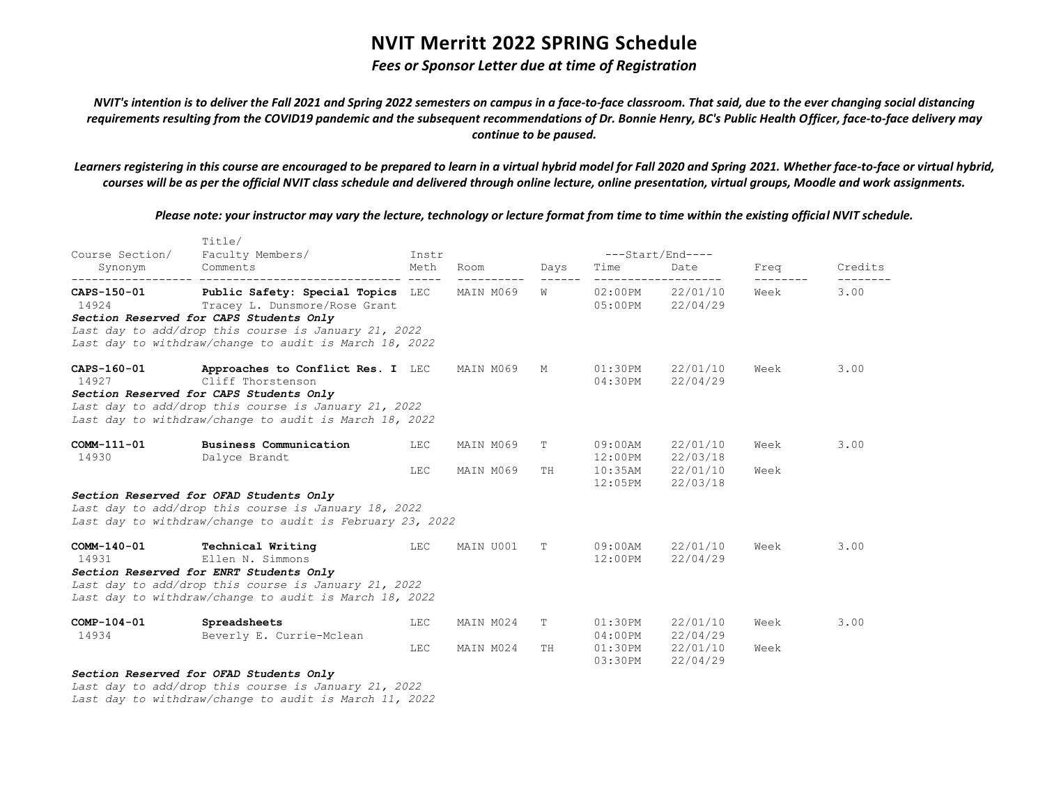### *Fees or Sponsor Letter due at time of Registration*

*NVIT's intention is to deliver the Fall 2021 and Spring 2022 semesters on campus in a face-to-face classroom. That said, due to the ever changing social distancing requirements resulting from the COVID19 pandemic and the subsequent recommendations of Dr. Bonnie Henry, BC's Public Health Officer, face-to-face delivery may continue to be paused.*

*Learners registering in this course are encouraged to be prepared to learn in a virtual hybrid model for Fall 2020 and Spring 2021. Whether face-to-face or virtual hybrid, courses will be as per the official NVIT class schedule and delivered through online lecture, online presentation, virtual groups, Moodle and work assignments.*

*Please note: your instructor may vary the lecture, technology or lecture format from time to time within the existing official NVIT schedule.*

| Course Section/        | TILLe/<br>Faculty Members/                                                                                                                                                                                                                                  | Instr      |                        |         |                                  | ---Start/End----                                     |              |         |
|------------------------|-------------------------------------------------------------------------------------------------------------------------------------------------------------------------------------------------------------------------------------------------------------|------------|------------------------|---------|----------------------------------|------------------------------------------------------|--------------|---------|
| Synonym                | Comments                                                                                                                                                                                                                                                    | Meth       | Room                   | Days    | Time                             | Date<br>___________________                          | Freq         | Credits |
|                        | CAPS-150-01 Public Safety: Special Topics LEC MAIN M069<br>14924 Tracey L. Dunsmore/Rose Grant<br>Section Reserved for CAPS Students Only<br>Last day to add/drop this course is January 21, 2022<br>Last day to withdraw/change to audit is March 18, 2022 |            |                        | M       |                                  | 02:00PM 22/01/10<br>05:00PM 22/04/29                 | Week         | 3.00    |
| 14927                  | CAPS-160-01 <b>Approaches to Conflict Res. I</b> LEC MAIN M069<br>Cliff Thorstenson<br>Section Reserved for CAPS Students Only<br>Last day to add/drop this course is January 21, 2022<br>Last day to withdraw/change to audit is March 18, 2022            |            |                        | M       | 04:30PM                          | 01:30PM 22/01/10<br>22/04/29                         | Week         | 3.00    |
| COMM-111-01<br>14930   | <b>Business Communication</b><br>Dalyce Brandt                                                                                                                                                                                                              | LEC<br>LEC | MAIN M069<br>MAIN M069 | T<br>TH | 09:00AM<br>12:00PM<br>$12:05$ PM | 22/01/10<br>22/03/18<br>10:35AM 22/01/10<br>22/03/18 | Week<br>Week | 3.00    |
|                        | Section Reserved for OFAD Students Only<br>Last day to add/drop this course is January 18, 2022<br>Last day to withdraw/change to audit is February 23, 2022                                                                                                |            |                        |         |                                  |                                                      |              |         |
| 14931 and 14931        | COMM-140-01 Technical Writing<br>$\overline{\text{LEC}}$<br>Ellen N. Simmons<br>Section Reserved for ENRT Students Only<br>Last day to add/drop this course is January 21, 2022<br>Last day to withdraw/change to audit is March 18, 2022                   |            | MAIN U001              | T       | 09:00AM<br>12:00PM               | 22/01/10<br>22/04/29                                 | Week         | 3.00    |
| $COMP-104-01$<br>14934 | Spreadsheets<br>Beverly E. Currie-Mclean                                                                                                                                                                                                                    | LEC        | MAIN M024              | T       | $01:30$ PM                       | 22/01/10<br>04:00PM 22/04/29                         | Week         | 3.00    |
|                        |                                                                                                                                                                                                                                                             | LEC        | MAIN M024              | TH      | $03:30$ PM                       | $01:30PM$ $22/01/10$<br>22/04/29                     | Week         |         |
|                        | Section Reserved for OFAD Students Only                                                                                                                                                                                                                     |            |                        |         |                                  |                                                      |              |         |

*Last day to add/drop this course is January 21, 2022 Last day to withdraw/change to audit is March 11, 2022*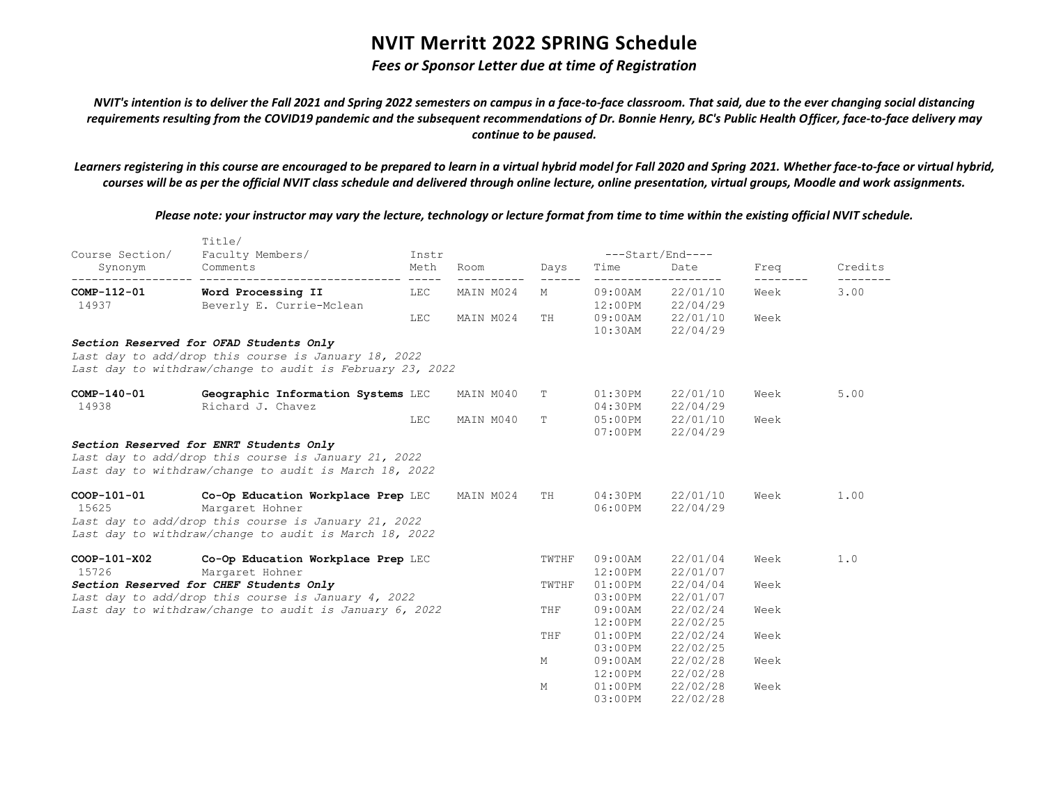### *Fees or Sponsor Letter due at time of Registration*

*NVIT's intention is to deliver the Fall 2021 and Spring 2022 semesters on campus in a face-to-face classroom. That said, due to the ever changing social distancing requirements resulting from the COVID19 pandemic and the subsequent recommendations of Dr. Bonnie Henry, BC's Public Health Officer, face-to-face delivery may continue to be paused.*

*Learners registering in this course are encouraged to be prepared to learn in a virtual hybrid model for Fall 2020 and Spring 2021. Whether face-to-face or virtual hybrid, courses will be as per the official NVIT class schedule and delivered through online lecture, online presentation, virtual groups, Moodle and work assignments.*

*Please note: your instructor may vary the lecture, technology or lecture format from time to time within the existing official NVIT schedule.*

| Course Section/                            | TILLe/<br>Faculty Members/                                                                                                                                              | Instr |                         |             | ---Start/End----         |                                                             |                  |         |
|--------------------------------------------|-------------------------------------------------------------------------------------------------------------------------------------------------------------------------|-------|-------------------------|-------------|--------------------------|-------------------------------------------------------------|------------------|---------|
| Synonym                                    | Comments                                                                                                                                                                | Meth  | Room                    | Days        | Time                     | Date                                                        | Freq             | Credits |
| ------------------<br>COMP-112-01<br>14937 | Word Processing II<br>Beverly E. Currie-Mclean                                                                                                                          | LEC   | ----------<br>MAIN M024 | ------<br>М |                          | -------------------<br>09:00AM 22/01/10<br>12:00PM 22/04/29 | --------<br>Week | 3.00    |
|                                            |                                                                                                                                                                         | LEC   | MAIN M024               | TH          | $10:30$ AM               | 09:00AM 22/01/10<br>22/04/29                                | Week             |         |
|                                            | Section Reserved for OFAD Students Only<br>Last day to add/drop this course is January 18, 2022<br>Last day to withdraw/change to audit is February 23, 2022            |       |                         |             |                          |                                                             |                  |         |
| COMP-140-01<br>14938                       | Geographic Information Systems LEC<br>Richard J. Chavez                                                                                                                 |       | MAIN M040               | Т           | 01:30PM<br>04:30PM       | 22/01/10<br>22/04/29                                        | Week             | 5.00    |
|                                            |                                                                                                                                                                         | LEC   | MAIN M040               | Т           | $05:00$ PM<br>$07:00$ PM | 22/01/10<br>22/04/29                                        | Week             |         |
|                                            | Section Reserved for ENRT Students Only<br>Last day to add/drop this course is January 21, 2022<br>Last day to withdraw/change to audit is March 18, 2022               |       |                         |             |                          |                                                             |                  |         |
| COOP-101-01<br>15625                       | Co-Op Education Workplace Prep LEC<br>Margaret Hohner<br>Last day to add/drop this course is January 21, 2022<br>Last day to withdraw/change to audit is March 18, 2022 |       | MAIN M024               | TH          | 04:30PM<br>06:00PM       | 22/01/10<br>22/04/29                                        | Week             | 1.00    |
| COOP-101-X02<br>15726                      | Co-Op Education Workplace Prep LEC<br>Margaret Hohner                                                                                                                   |       |                         | TWTHF       | $09:00$ AM<br>12:00PM    | 22/01/04<br>22/01/07                                        | Week             | 1.0     |
|                                            | Section Reserved for CHEF Students Only<br>Last day to add/drop this course is January 4, 2022                                                                          |       |                         | TWTHF       | $01:00$ PM<br>$03:00$ PM | 22/04/04<br>22/01/07                                        | Week             |         |
|                                            | Last day to withdraw/change to audit is January 6, 2022                                                                                                                 |       |                         | THF         | 09:00AM<br>12:00PM       | 22/02/24<br>22/02/25                                        | Week             |         |
|                                            |                                                                                                                                                                         |       |                         | THF         | $01:00$ PM<br>$03:00$ PM | 22/02/24<br>22/02/25                                        | Week             |         |
|                                            |                                                                                                                                                                         |       |                         | M           | 09:00AM<br>12:00PM       | 22/02/28<br>22/02/28                                        | Week             |         |
|                                            |                                                                                                                                                                         |       |                         | М           | $01:00$ PM<br>03:00PM    | 22/02/28<br>22/02/28                                        | Week             |         |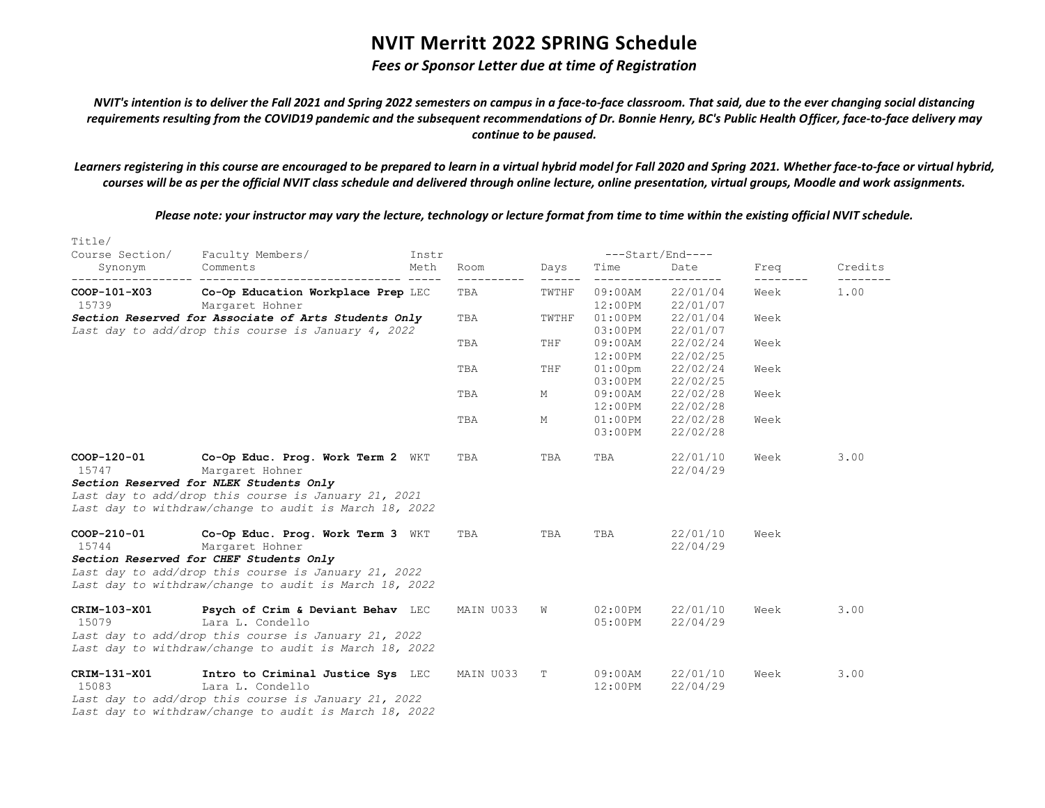### *Fees or Sponsor Letter due at time of Registration*

*NVIT's intention is to deliver the Fall 2021 and Spring 2022 semesters on campus in a face-to-face classroom. That said, due to the ever changing social distancing requirements resulting from the COVID19 pandemic and the subsequent recommendations of Dr. Bonnie Henry, BC's Public Health Officer, face-to-face delivery may continue to be paused.*

*Learners registering in this course are encouraged to be prepared to learn in a virtual hybrid model for Fall 2020 and Spring 2021. Whether face-to-face or virtual hybrid, courses will be as per the official NVIT class schedule and delivered through online lecture, online presentation, virtual groups, Moodle and work assignments.*

| Title/<br>Course Section/ | Faculty Members/                                                                                                                                                                                                  | Instr |           |                 |                          | $---Start/End---$    |      |         |
|---------------------------|-------------------------------------------------------------------------------------------------------------------------------------------------------------------------------------------------------------------|-------|-----------|-----------------|--------------------------|----------------------|------|---------|
| Synonym                   | Comments                                                                                                                                                                                                          | Meth  | Room      | Days            | Time                     | Date                 | Freq | Credits |
| COOP-101-X03<br>15739     | ---------<br>Co-Op Education Workplace Prep LEC<br>Margaret Hohner                                                                                                                                                |       | TBA       | ------<br>TWTHF | $09:00$ AM<br>12:00PM    | 22/01/04<br>22/01/07 | Week | 1.00    |
|                           | Section Reserved for Associate of Arts Students Only<br>Last day to add/drop this course is January 4, 2022                                                                                                       |       | TBA       | TWTHF           | $01:00$ PM<br>$03:00$ PM | 22/01/04<br>22/01/07 | Week |         |
|                           |                                                                                                                                                                                                                   |       | TBA       | THF             | $09:00$ AM<br>12:00PM    | 22/02/24<br>22/02/25 | Week |         |
|                           |                                                                                                                                                                                                                   |       | TBA       | THF             | $01:00$ pm<br>$03:00$ PM | 22/02/24<br>22/02/25 | Week |         |
|                           |                                                                                                                                                                                                                   |       | TBA       | Μ               | $09:00$ AM<br>$12:00$ PM | 22/02/28<br>22/02/28 | Week |         |
|                           |                                                                                                                                                                                                                   |       | TBA       | М               | $01:00$ PM<br>$03:00$ PM | 22/02/28<br>22/02/28 | Week |         |
| COOP-120-01<br>15747      | Co-Op Educ. Prog. Work Term 2 WKT<br>Margaret Hohner<br>Section Reserved for NLEK Students Only<br>Last day to add/drop this course is January 21, 2021<br>Last day to withdraw/change to audit is March 18, 2022 |       | TBA       | TBA             | TBA                      | 22/01/10<br>22/04/29 | Week | 3.00    |
| COOP-210-01<br>15744      | Co-Op Educ. Prog. Work Term 3 WKT<br>Margaret Hohner<br>Section Reserved for CHEF Students Only<br>Last day to add/drop this course is January 21, 2022<br>Last day to withdraw/change to audit is March 18, 2022 |       | TBA       | TBA             | TBA                      | 22/01/10<br>22/04/29 | Week |         |
| CRIM-103-X01<br>15079     | Psych of Crim & Deviant Behav LEC<br>Lara L. Condello<br>Last day to add/drop this course is January 21, 2022<br>Last day to withdraw/change to audit is March 18, 2022                                           |       | MAIN U033 | W               | $02:00$ PM<br>$05:00$ PM | 22/01/10<br>22/04/29 | Week | 3.00    |
| CRIM-131-X01<br>15083     | Intro to Criminal Justice Sys LEC<br>Lara L. Condello<br>Last day to add/drop this course is January 21, 2022<br>Last day to withdraw/change to audit is March 18, 2022                                           |       | MAIN U033 | T               | 09:00AM<br>12:00PM       | 22/01/10<br>22/04/29 | Week | 3.00    |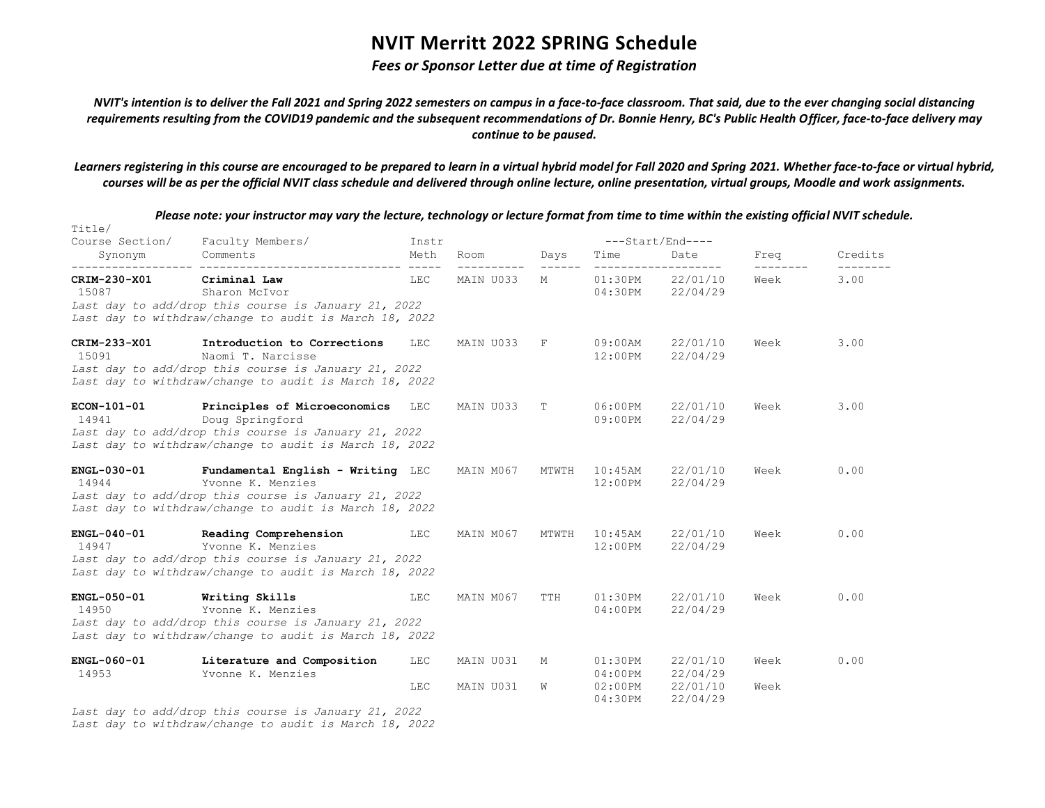#### *Fees or Sponsor Letter due at time of Registration*

*NVIT's intention is to deliver the Fall 2021 and Spring 2022 semesters on campus in a face-to-face classroom. That said, due to the ever changing social distancing requirements resulting from the COVID19 pandemic and the subsequent recommendations of Dr. Bonnie Henry, BC's Public Health Officer, face-to-face delivery may continue to be paused.*

*Learners registering in this course are encouraged to be prepared to learn in a virtual hybrid model for Fall 2020 and Spring 2021. Whether face-to-face or virtual hybrid, courses will be as per the official NVIT class schedule and delivered through online lecture, online presentation, virtual groups, Moodle and work assignments.*

*Please note: your instructor may vary the lecture, technology or lecture format from time to time within the existing official NVIT schedule.*

Title/ Course Section/ Faculty Members/ Instr ---Start/End---- Synonym Comments Meth Room Days Time Date Freq Credits ------------------ ------------------------------ ----- ---------- ------ ------------------- -------- -------- **CRIM-230-X01 Criminal Law** LEC MAIN U033 M 01:30PM 22/01/10 Week 3.00 15087 Sharon McIvor 04:30PM 22/04/29 *Last day to add/drop this course is January 21, 2022 Last day to withdraw/change to audit is March 18, 2022* **CRIM-233-X01 Introduction to Corrections** LEC MAIN U033 F 09:00AM 22/01/10 Week 3.00 15091 Naomi T. Narcisse 12:00PM 22/04/29 *Last day to add/drop this course is January 21, 2022 Last day to withdraw/change to audit is March 18, 2022* **ECON-101-01 Principles of Microeconomics** LEC MAIN U033 T 06:00PM 22/01/10 Week 3.00 14941 Doug Springford 09:00PM 22/04/29 *Last day to add/drop this course is January 21, 2022 Last day to withdraw/change to audit is March 18, 2022* **ENGL-030-01 Fundamental English - Writing** LEC MAIN M067 MTWTH 10:45AM 22/01/10 Week 0.00 14944 Yvonne K. Menzies 12:00PM 22/04/29 *Last day to add/drop this course is January 21, 2022 Last day to withdraw/change to audit is March 18, 2022* **ENGL-040-01 Reading Comprehension** LEC MAIN M067 MTWTH 10:45AM 22/01/10 Week 0.00 14947 Yvonne K. Menzies 12:00PM 22/04/29 *Last day to add/drop this course is January 21, 2022 Last day to withdraw/change to audit is March 18, 2022* **ENGL-050-01 Writing Skills** LEC MAIN M067 TTH 01:30PM 22/01/10 Week 0.00 14950 Yvonne K. Menzies 04:00PM 22/04/29 *Last day to add/drop this course is January 21, 2022 Last day to withdraw/change to audit is March 18, 2022* **ENGL-060-01 Literature and Composition** LEC MAIN U031 M 01:30PM 22/01/10 Week 0.00 14953 Yvonne K. Menzies 04:00PM 22/04/29 LEC MAIN U031 W 02:00PM 22/01/10 Week 04:30PM 22/04/29

*Last day to add/drop this course is January 21, 2022 Last day to withdraw/change to audit is March 18, 2022*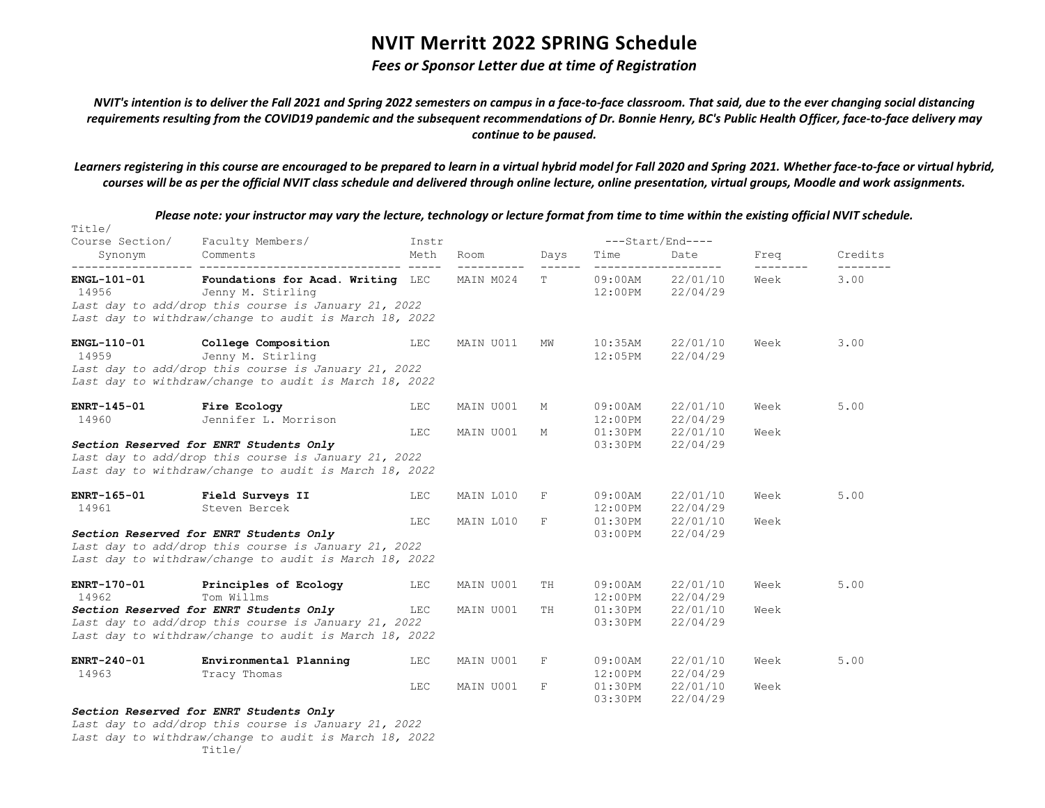#### *Fees or Sponsor Letter due at time of Registration*

*NVIT's intention is to deliver the Fall 2021 and Spring 2022 semesters on campus in a face-to-face classroom. That said, due to the ever changing social distancing requirements resulting from the COVID19 pandemic and the subsequent recommendations of Dr. Bonnie Henry, BC's Public Health Officer, face-to-face delivery may continue to be paused.*

*Learners registering in this course are encouraged to be prepared to learn in a virtual hybrid model for Fall 2020 and Spring 2021. Whether face-to-face or virtual hybrid, courses will be as per the official NVIT class schedule and delivered through online lecture, online presentation, virtual groups, Moodle and work assignments.*

| Title/<br>Course Section/   | Faculty Members/                                                                                                                                                                   | Instr      |                        |        |                                     | $---Start/End---$                    |              |         |
|-----------------------------|------------------------------------------------------------------------------------------------------------------------------------------------------------------------------------|------------|------------------------|--------|-------------------------------------|--------------------------------------|--------------|---------|
| Synonym                     | Comments                                                                                                                                                                           | Meth       | Room                   | Days   | Time                                | Date                                 | Freq         | Credits |
| <b>ENGL-101-01</b><br>14956 | Foundations for Acad. Writing LEC MAIN M024<br>Jenny M. Stirling<br>Last day to add/drop this course is January 21, 2022<br>Last day to withdraw/change to audit is March 18, 2022 |            |                        | T      |                                     | 09:00AM 22/01/10<br>12:00PM 22/04/29 | Week         | 3.00    |
| <b>ENGL-110-01</b><br>14959 | College Composition<br>Jenny M. Stirling<br>Last day to add/drop this course is January 21, 2022<br>Last day to withdraw/change to audit is March 18, 2022                         | LEC        | MAIN U011              | MW     | $10:35$ AM<br>$12:05$ PM            | 22/01/10<br>22/04/29                 | Week         | 3.00    |
| ENRT-145-01<br>14960        | Fire Ecology<br>Jennifer L. Morrison                                                                                                                                               | LEC<br>LEC | MAIN U001<br>MAIN U001 | М<br>М | $09:00$ AM<br>12:00PM<br>$01:30$ PM | 22/01/10<br>22/04/29<br>22/01/10     | Week<br>Week | 5.00    |
|                             | Section Reserved for ENRT Students Only<br>Last day to add/drop this course is January 21, 2022<br>Last day to withdraw/change to audit is March 18, 2022                          |            |                        |        | 03:30PM                             | 22/04/29                             |              |         |
| ENRT-165-01<br>14961        | Field Surveys II<br>Steven Bercek                                                                                                                                                  | LEC        | MAIN L010              | F      | $09:00$ AM<br>$12:00$ PM            | 22/01/10<br>22/04/29                 | Week         | 5.00    |
|                             | Section Reserved for ENRT Students Only<br>Last day to add/drop this course is January 21, 2022<br>Last day to withdraw/change to audit is March 18, 2022                          | LEC        | MAIN L010              | F      | 03:00PM                             | 01:30PM 22/01/10<br>22/04/29         | Week         |         |
| ENRT-170-01<br>14962        | Principles of Ecology<br><b>EXECUTE:</b><br>Tom Willms                                                                                                                             |            | MAIN U001              | TH     | $09:00$ AM<br>12:00PM               | 22/01/10<br>22/04/29                 | Week         | 5.00    |
|                             | Section Reserved for ENRT Students Only<br>LEC<br>Last day to add/drop this course is January 21, 2022<br>Last day to withdraw/change to audit is March 18, 2022                   |            | MAIN U001              | TH     | 03:30PM                             | 01:30PM 22/01/10<br>22/04/29         | Week         |         |
| ENRT-240-01<br>14963        | Environmental Planning<br>Tracy Thomas                                                                                                                                             | LEC        | MAIN U001              | F      | $09:00$ AM<br>12:00PM               | 22/01/10<br>22/04/29                 | Week         | 5.00    |
|                             |                                                                                                                                                                                    | LEC        | MAIN U001              | F      | 03:30PM                             | 01:30PM 22/01/10<br>22/04/29         | Week         |         |

*Please note: your instructor may vary the lecture, technology or lecture format from time to time within the existing official NVIT schedule.*

#### *Section Reserved for ENRT Students Only*

*Last day to add/drop this course is January 21, 2022 Last day to withdraw/change to audit is March 18, 2022* Title/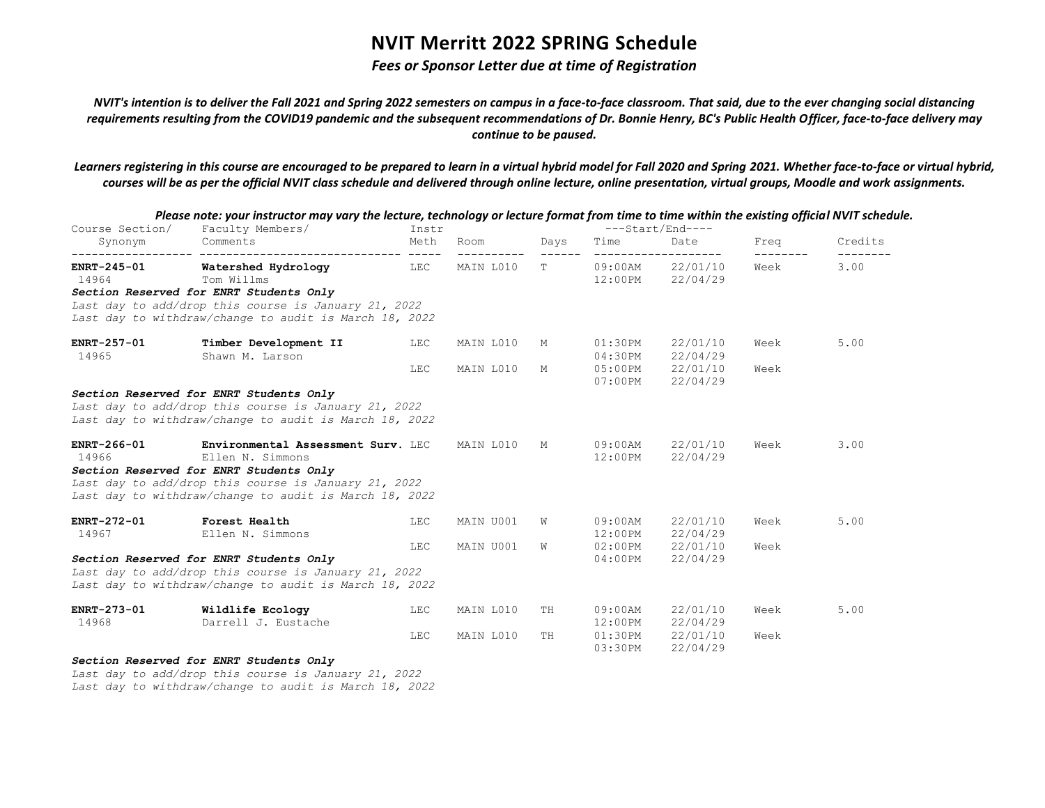### *Fees or Sponsor Letter due at time of Registration*

*NVIT's intention is to deliver the Fall 2021 and Spring 2022 semesters on campus in a face-to-face classroom. That said, due to the ever changing social distancing requirements resulting from the COVID19 pandemic and the subsequent recommendations of Dr. Bonnie Henry, BC's Public Health Officer, face-to-face delivery may continue to be paused.*

*Learners registering in this course are encouraged to be prepared to learn in a virtual hybrid model for Fall 2020 and Spring 2021. Whether face-to-face or virtual hybrid, courses will be as per the official NVIT class schedule and delivered through online lecture, online presentation, virtual groups, Moodle and work assignments.*

| Course Section/      | r icase note. your mistractor may vary the icetare, technology or icetare format from time to time within the existing official revit sched<br>Faculty Members/                                                     | Instr |                    |      |                          | ---Start/End----                               |                           |         |
|----------------------|---------------------------------------------------------------------------------------------------------------------------------------------------------------------------------------------------------------------|-------|--------------------|------|--------------------------|------------------------------------------------|---------------------------|---------|
| Synonym              | Comments                                                                                                                                                                                                            | Meth  | Room<br>---------- | Days | Time                     | Date<br>--------------------                   | Freq<br>$- - - - - - - -$ | Credits |
| ENRT-245-01<br>14964 | Watershed Hydrology LEC<br>Tom Willms<br>Section Reserved for ENRT Students Only<br>Last day to add/drop this course is January 21, 2022                                                                            |       | MAIN L010          | T.   |                          | 09:00AM 22/01/10<br>12:00PM 22/04/29           | Week                      | 3.00    |
|                      | Last day to withdraw/change to audit is March 18, 2022                                                                                                                                                              |       |                    |      |                          |                                                |                           |         |
| ENRT-257-01<br>14965 | Timber Development II<br>Shawn M. Larson                                                                                                                                                                            | LEC   | MAIN L010          | M    | $01:30$ PM<br>04:30PM    | 22/01/10<br>22/04/29                           | Week                      | 5.00    |
|                      |                                                                                                                                                                                                                     | LEC   | MAIN L010          | M    |                          | 05:00PM 22/01/10<br>$07:00 \text{PM}$ 22/04/29 | Week                      |         |
|                      | Section Reserved for ENRT Students Only<br>Last day to add/drop this course is January 21, 2022<br>Last day to withdraw/change to audit is March 18, 2022                                                           |       |                    |      |                          |                                                |                           |         |
| ENRT-266-01<br>14966 | Environmental Assessment Surv. LEC<br>Ellen N. Simmons<br>Section Reserved for ENRT Students Only<br>Last day to add/drop this course is January 21, 2022<br>Last day to withdraw/change to audit is March 18, 2022 |       | MAIN L010          | M    | 09:00AM<br>12:00PM       | 22/01/10<br>22/04/29                           | Week                      | 3.00    |
| ENRT-272-01<br>14967 | <b>Forest Health</b><br>Ellen N. Simmons                                                                                                                                                                            | LEC   | MAIN U001          | W    | 09:00AM<br>$12:00$ PM    | 22/01/10<br>22/04/29                           | Week                      | 5.00    |
|                      | Section Reserved for ENRT Students Only<br>Last day to add/drop this course is January 21, 2022<br>Last day to withdraw/change to audit is March 18, 2022                                                           | LEC   | MAIN U001          | W    | $02:00$ PM<br>$04:00$ PM | 22/01/10<br>22/04/29                           | Week                      |         |
| ENRT-273-01<br>14968 | Wildlife Ecology<br>Darrell J. Eustache                                                                                                                                                                             | LEC   | MAIN L010          | TH   | $09:00$ AM<br>$12:00$ PM | 22/01/10<br>22/04/29                           | Week                      | 5.00    |
|                      |                                                                                                                                                                                                                     | LEC   | MAIN L010          | TH   | 03:30PM                  | 01:30PM 22/01/10<br>22/04/29                   | Week                      |         |
|                      | Section Reserved for ENRT Students Only                                                                                                                                                                             |       |                    |      |                          |                                                |                           |         |

*Please note: your instructor may vary the lecture, technology or lecture format from time to time within the existing official NVIT schedule.*

*Last day to add/drop this course is January 21, 2022*

*Last day to withdraw/change to audit is March 18, 2022*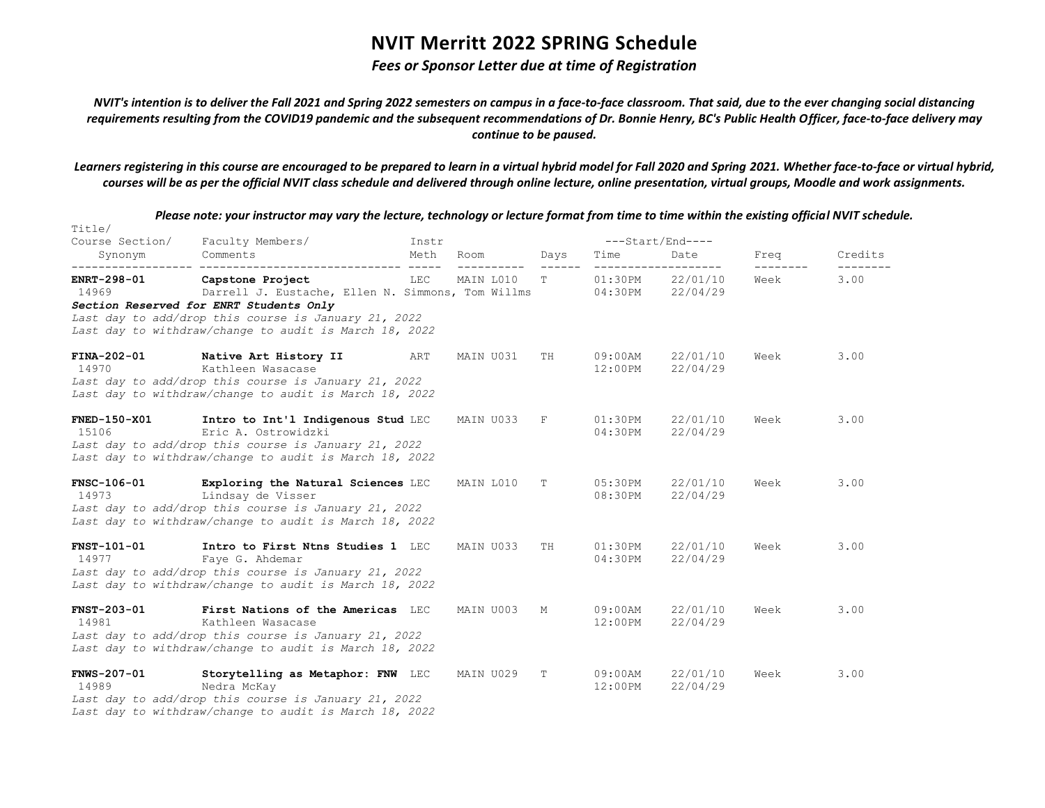### *Fees or Sponsor Letter due at time of Registration*

*NVIT's intention is to deliver the Fall 2021 and Spring 2022 semesters on campus in a face-to-face classroom. That said, due to the ever changing social distancing requirements resulting from the COVID19 pandemic and the subsequent recommendations of Dr. Bonnie Henry, BC's Public Health Officer, face-to-face delivery may continue to be paused.*

*Learners registering in this course are encouraged to be prepared to learn in a virtual hybrid model for Fall 2020 and Spring 2021. Whether face-to-face or virtual hybrid, courses will be as per the official NVIT class schedule and delivered through online lecture, online presentation, virtual groups, Moodle and work assignments.*

| Title/                       | Please note: your instructor may vary the lecture, technology or lecture format from time to time within the existing official NVIT schedule.                               |       |                     |                                                                             |                          |                              |                           |                      |
|------------------------------|-----------------------------------------------------------------------------------------------------------------------------------------------------------------------------|-------|---------------------|-----------------------------------------------------------------------------|--------------------------|------------------------------|---------------------------|----------------------|
| Course Section/              | Faculty Members/                                                                                                                                                            | Instr |                     |                                                                             |                          | ---Start/End----             |                           |                      |
| Synonym                      | Comments                                                                                                                                                                    | Meth  | Room<br>----------- | Days<br>$\begin{tabular}{cccccc} - & - & - & - & - \\ \hline \end{tabular}$ | Time                     | Date<br>____________________ | Freq<br>$- - - - - - - -$ | Credits<br>--------- |
| ENRT-298-01<br>14969         | Capstone Project<br>Darrell J. Eustache, Ellen N. Simmons, Tom Willms                                                                                                       | LEC   | MAIN L010           | $T$ and $T$                                                                 | $01:30$ PM<br>04:30PM    | 22/01/10<br>22/04/29         | Week                      | 3.00                 |
|                              | Section Reserved for ENRT Students Only<br>Last day to add/drop this course is January 21, 2022<br>Last day to withdraw/change to audit is March 18, 2022                   |       |                     |                                                                             |                          |                              |                           |                      |
| FINA-202-01<br>14970         | Native Art History II<br>Kathleen Wasacase<br>Last day to add/drop this course is January 21, 2022<br>Last day to withdraw/change to audit is March 18, 2022                | ART   | MAIN U031           | TH                                                                          | $09:00$ AM<br>$12:00$ PM | 22/01/10<br>22/04/29         | Week                      | 3.00                 |
| <b>FNED-150-X01</b><br>15106 | Intro to Int'l Indigenous Stud LEC<br>Eric A. Ostrowidzki<br>Last day to add/drop this course is January 21, 2022<br>Last day to withdraw/change to audit is March 18, 2022 |       | MAIN U033           | F                                                                           | 01:30PM<br>04:30PM       | 22/01/10<br>22/04/29         | Week                      | 3.00                 |
| FNSC-106-01<br>14973         | Exploring the Natural Sciences LEC<br>Lindsay de Visser<br>Last day to add/drop this course is January 21, 2022<br>Last day to withdraw/change to audit is March 18, 2022   |       | MAIN L010           | Т                                                                           | 05:30PM<br>08:30PM       | 22/01/10<br>22/04/29         | Week                      | 3.00                 |
| <b>FNST-101-01</b><br>14977  | Intro to First Ntns Studies 1 LEC<br>Faye G. Ahdemar<br>Last day to add/drop this course is January 21, 2022<br>Last day to withdraw/change to audit is March 18, 2022      |       | MAIN U033           | TH                                                                          | 01:30PM<br>04:30PM       | 22/01/10<br>22/04/29         | Week                      | 3.00                 |
| <b>FNST-203-01</b><br>14981  | First Nations of the Americas LEC<br>Kathleen Wasacase<br>Last day to add/drop this course is January 21, 2022<br>Last day to withdraw/change to audit is March 18, 2022    |       | MAIN U003           | М                                                                           | $09:00$ AM<br>$12:00$ PM | 22/01/10<br>22/04/29         | Week                      | 3.00                 |
| <b>FNWS-207-01</b><br>14989  | Storytelling as Metaphor: FNW LEC<br>Nedra McKay<br>Last day to add/drop this course is January 21, 2022<br>Last day to withdraw/change to audit is March 18, 2022          |       | MAIN U029           | T                                                                           | 09:00AM<br>12:00PM       | 22/01/10<br>22/04/29         | Week                      | 3.00                 |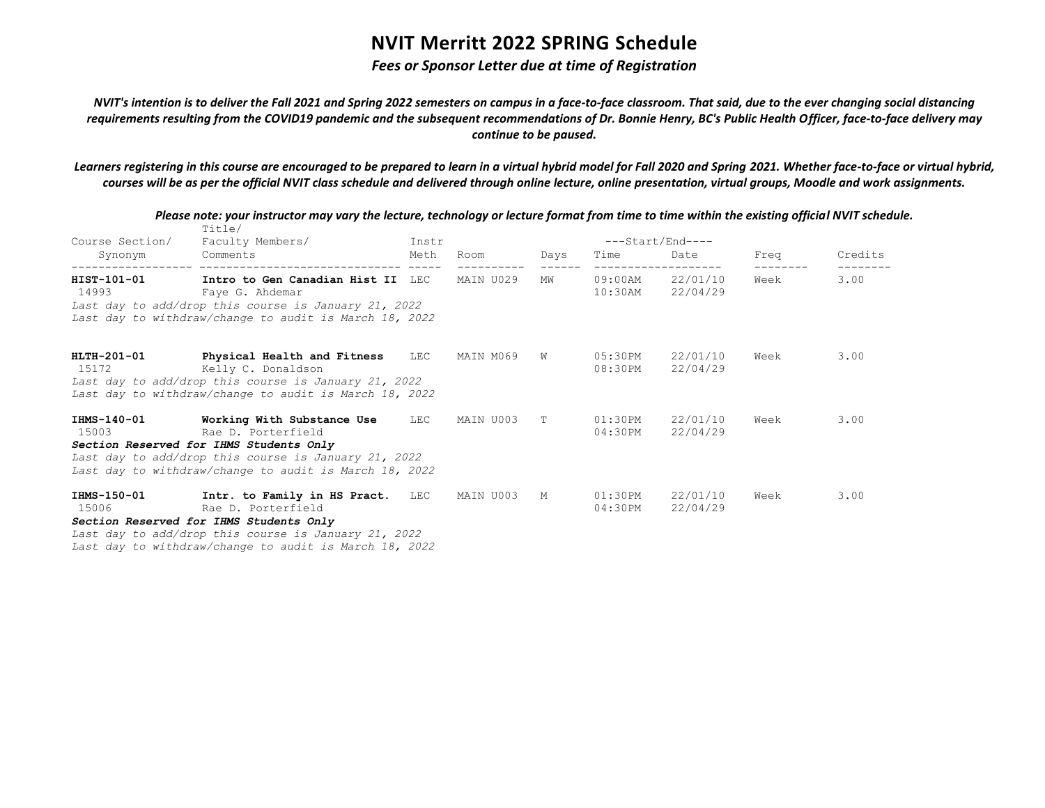### *Fees or Sponsor Letter due at time of Registration*

*NVIT's intention is to deliver the Fall 2021 and Spring 2022 semesters on campus in a face-to-face classroom. That said, due to the ever changing social distancing requirements resulting from the COVID19 pandemic and the subsequent recommendations of Dr. Bonnie Henry, BC's Public Health Officer, face-to-face delivery may continue to be paused.*

*Learners registering in this course are encouraged to be prepared to learn in a virtual hybrid model for Fall 2020 and Spring 2021. Whether face-to-face or virtual hybrid, courses will be as per the official NVIT class schedule and delivered through online lecture, online presentation, virtual groups, Moodle and work assignments.*

| Course Section/<br>Synonym | Title/<br>Faculty Members/<br>Comments                                                                                                                                                                                                                                                  | Instr<br>Meth | Room Days   |           | Time | ---Start/End----<br>Date                                    | Freq              | Credits |
|----------------------------|-----------------------------------------------------------------------------------------------------------------------------------------------------------------------------------------------------------------------------------------------------------------------------------------|---------------|-------------|-----------|------|-------------------------------------------------------------|-------------------|---------|
| HIST-101-01                | Intro to Gen Canadian Hist II LEC MAIN U029<br>14993 Faye G. Ahdemar<br>Last day to add/drop this course is January 21, 2022<br>Last day to withdraw/change to audit is March 18, 2022                                                                                                  |               | ----------  | <b>MW</b> |      | -------------------<br>09:00AM 22/01/10<br>10:30AM 22/04/29 | ---------<br>Week | 3.00    |
|                            | HLTH-201-01 Physical Health and Fitness LEC MAIN M069 W<br>15172 Kelly C. Donaldson<br>Last day to add/drop this course is January 21, 2022<br>Last day to withdraw/change to audit is March 18, 2022                                                                                   |               |             |           |      | 05:30PM 22/01/10<br>08:30PM 22/04/29                        | Week              | 3.00    |
| 15003 and 15003            | IHMS-140-01 Working With Substance Use LEC<br>Rae D. Porterfield<br>Section Reserved for IHMS Students Only<br>Last day to add/drop this course is January 21, 2022<br>Last day to withdraw/change to audit is March 18, 2022                                                           |               | MAIN U003 T |           |      | 01:30PM 22/01/10<br>04:30PM 22/04/29                        | Week              | 3.00    |
| 15006                      | IHMS-150-01 Intr. to Family in HS Pract. LEC<br>Rae D. Porterfield<br>Section Reserved for IHMS Students Only<br>Last day to add/drop this course is January 21, 2022<br>in a complete the state of the state of the state of the state of the state of the state of the state of the s |               | MAIN U003   | M         |      | 01:30PM 22/01/10<br>04:30PM 22/04/29                        | Week              | 3.00    |

*Please note: your instructor may vary the lecture, technology or lecture format from time to time within the existing official NVIT schedule.*

*Last day to withdraw/change to audit is March 18, 2022*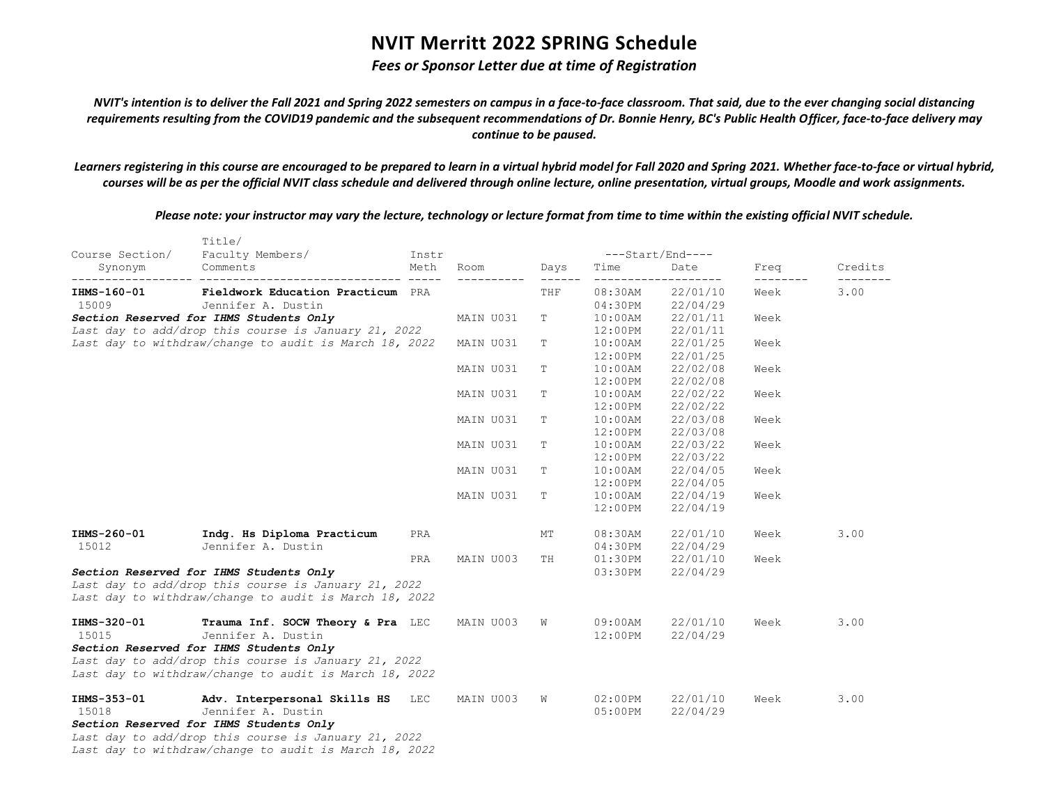### *Fees or Sponsor Letter due at time of Registration*

*NVIT's intention is to deliver the Fall 2021 and Spring 2022 semesters on campus in a face-to-face classroom. That said, due to the ever changing social distancing requirements resulting from the COVID19 pandemic and the subsequent recommendations of Dr. Bonnie Henry, BC's Public Health Officer, face-to-face delivery may continue to be paused.*

*Learners registering in this course are encouraged to be prepared to learn in a virtual hybrid model for Fall 2020 and Spring 2021. Whether face-to-face or virtual hybrid, courses will be as per the official NVIT class schedule and delivered through online lecture, online presentation, virtual groups, Moodle and work assignments.*

*Please note: your instructor may vary the lecture, technology or lecture format from time to time within the existing official NVIT schedule.*

| Course Section/ | Title/<br>Faculty Members/                                                                                     | Instr |                 |                       |            |                                   |                   |         |
|-----------------|----------------------------------------------------------------------------------------------------------------|-------|-----------------|-----------------------|------------|-----------------------------------|-------------------|---------|
| Synonym         | Comments                                                                                                       | Meth  | Room<br>------- | Days<br>$- - - - - -$ | Time       | ---Start/End----<br>Date<br>----- | Freq<br>--------- | Credits |
| IHMS-160-01     | Fieldwork Education Practicum PRA                                                                              |       |                 | THF                   | $08:30$ AM | 22/01/10                          | Week              | 3.00    |
| 15009           | Jennifer A. Dustin                                                                                             |       |                 |                       | 04:30PM    | 22/04/29                          |                   |         |
|                 | Section Reserved for IHMS Students Only                                                                        |       | MAIN U031       | т                     | $10:00$ AM | 22/01/11                          | Week              |         |
|                 | Last day to add/drop this course is January 21, 2022                                                           |       |                 |                       | $12:00$ PM | 22/01/11                          |                   |         |
|                 | Last day to withdraw/change to audit is March 18, 2022                                                         |       | MAIN U031       | Т                     | $10:00$ AM | 22/01/25                          | Week              |         |
|                 |                                                                                                                |       |                 |                       | $12:00$ PM | 22/01/25                          |                   |         |
|                 |                                                                                                                |       | MAIN U031       | Т                     | $10:00$ AM | 22/02/08                          | Week              |         |
|                 |                                                                                                                |       |                 |                       | $12:00$ PM | 22/02/08                          |                   |         |
|                 |                                                                                                                |       | MAIN U031       | Т                     | $10:00$ AM | 22/02/22                          | Week              |         |
|                 |                                                                                                                |       |                 |                       | $12:00$ PM | 22/02/22                          |                   |         |
|                 |                                                                                                                |       | MAIN U031       | Т                     | $10:00$ AM | 22/03/08                          | Week              |         |
|                 |                                                                                                                |       |                 |                       | $12:00$ PM | 22/03/08                          |                   |         |
|                 |                                                                                                                |       | MAIN U031       | Т                     | $10:00$ AM | 22/03/22                          | Week              |         |
|                 |                                                                                                                |       |                 |                       | $12:00$ PM | 22/03/22                          |                   |         |
|                 |                                                                                                                |       | MAIN U031       | т                     | $10:00$ AM | 22/04/05                          | Week              |         |
|                 |                                                                                                                |       |                 |                       | $12:00$ PM | 22/04/05                          |                   |         |
|                 |                                                                                                                |       | MAIN U031       | т                     | $10:00$ AM | 22/04/19                          | Week              |         |
|                 |                                                                                                                |       |                 |                       | 12:00PM    | 22/04/19                          |                   |         |
| IHMS-260-01     | Indq. Hs Diploma Practicum                                                                                     | PRA   |                 | МT                    | $08:30$ AM | 22/01/10                          | Week              | 3.00    |
| 15012           | Jennifer A. Dustin                                                                                             |       |                 |                       | 04:30PM    | 22/04/29                          |                   |         |
|                 |                                                                                                                | PRA   | MAIN U003       | TH                    | 01:30PM    | 22/01/10                          | Week              |         |
|                 | Section Reserved for IHMS Students Only                                                                        |       |                 |                       | 03:30PM    | 22/04/29                          |                   |         |
|                 | Last day to add/drop this course is January 21, 2022<br>Last day to withdraw/change to audit is March 18, 2022 |       |                 |                       |            |                                   |                   |         |
| IHMS-320-01     | Trauma Inf. SOCW Theory & Pra LEC                                                                              |       | MAIN U003       | W                     | $09:00$ AM | 22/01/10                          | Week              | 3.00    |
| 15015           | Jennifer A. Dustin                                                                                             |       |                 |                       | 12:00PM    | 22/04/29                          |                   |         |
|                 | Section Reserved for IHMS Students Only                                                                        |       |                 |                       |            |                                   |                   |         |
|                 | Last day to add/drop this course is January 21, 2022                                                           |       |                 |                       |            |                                   |                   |         |
|                 | Last day to withdraw/change to audit is March 18, 2022                                                         |       |                 |                       |            |                                   |                   |         |
| IHMS-353-01     | Adv. Interpersonal Skills HS LEC                                                                               |       | MAIN U003       | W                     | $02:00$ PM | 22/01/10                          | Week              | 3.00    |
| 15018           | Jennifer A. Dustin                                                                                             |       |                 |                       | $05:00$ PM | 22/04/29                          |                   |         |
|                 | Section Reserved for IHMS Students Only                                                                        |       |                 |                       |            |                                   |                   |         |
|                 | Last day to add/drop this course is January 21, 2022                                                           |       |                 |                       |            |                                   |                   |         |
|                 | Last day to withdraw/change to audit is March 18, 2022                                                         |       |                 |                       |            |                                   |                   |         |

 $T$ itle $T$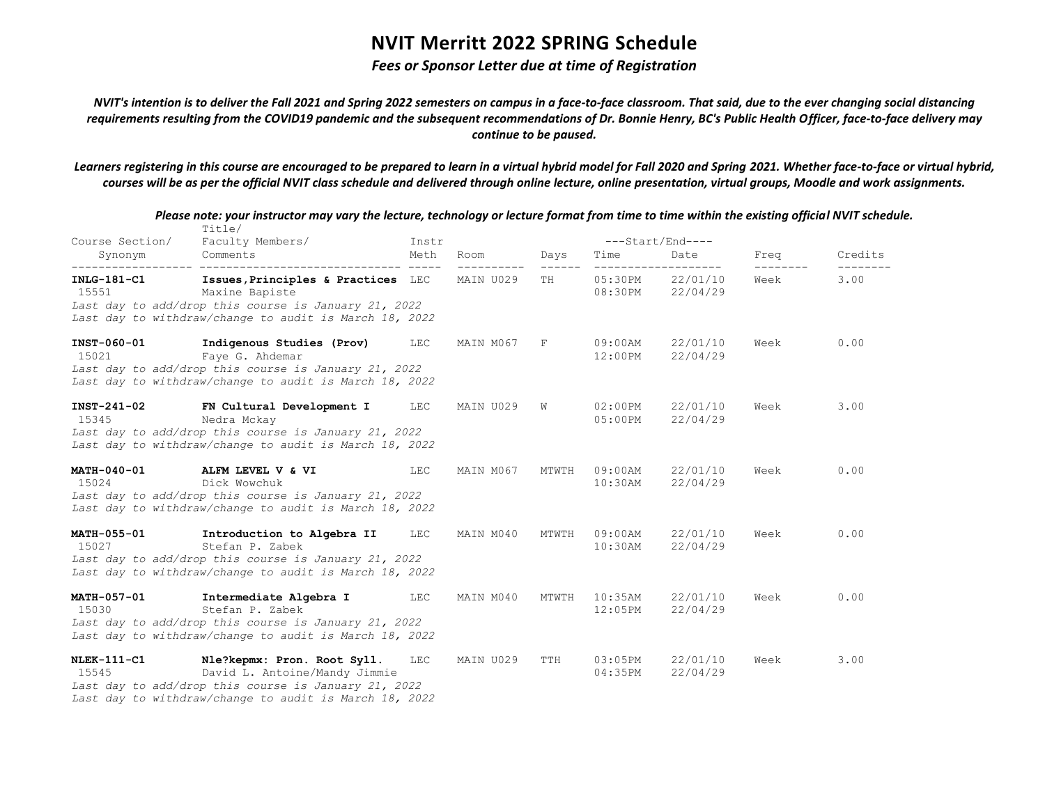### *Fees or Sponsor Letter due at time of Registration*

*NVIT's intention is to deliver the Fall 2021 and Spring 2022 semesters on campus in a face-to-face classroom. That said, due to the ever changing social distancing requirements resulting from the COVID19 pandemic and the subsequent recommendations of Dr. Bonnie Henry, BC's Public Health Officer, face-to-face delivery may continue to be paused.*

*Learners registering in this course are encouraged to be prepared to learn in a virtual hybrid model for Fall 2020 and Spring 2021. Whether face-to-face or virtual hybrid, courses will be as per the official NVIT class schedule and delivered through online lecture, online presentation, virtual groups, Moodle and work assignments.*

| Course Section/             | Title/<br>Faculty Members/                                                                                                                                                     | Instr |           |                         |                          | $---Start/End---$            |      |                      |
|-----------------------------|--------------------------------------------------------------------------------------------------------------------------------------------------------------------------------|-------|-----------|-------------------------|--------------------------|------------------------------|------|----------------------|
| Synonym                     | Comments                                                                                                                                                                       | Meth  | Room      | Days<br>$- - - - - - -$ | Time                     | Date                         | Freq | Credits<br>--------- |
| $INLG-181-C1$<br>15551      | Issues, Principles & Practices LEC<br>Maxine Bapiste<br>Last day to add/drop this course is January 21, 2022<br>Last day to withdraw/change to audit is March 18, 2022         |       | MAIN U029 | TH                      | 05:30PM                  | 22/01/10<br>08:30PM 22/04/29 | Week | 3.00                 |
| INST-060-01<br>15021        | Indigenous Studies (Prov)<br>Faye G. Ahdemar<br>Last day to add/drop this course is January 21, 2022<br>Last day to withdraw/change to audit is March 18, 2022                 | LEC   | MAIN M067 | F                       | $09:00$ AM<br>12:00PM    | 22/01/10<br>22/04/29         | Week | 0.00                 |
| INST-241-02<br>15345        | FN Cultural Development I<br>Nedra Mckay<br>Last day to add/drop this course is January 21, 2022<br>Last day to withdraw/change to audit is March 18, 2022                     | LEC   | MAIN U029 | W                       | 02:00PM<br>$05:00$ PM    | 22/01/10<br>22/04/29         | Week | 3.00                 |
| MATH-040-01<br>15024        | ALFM LEVEL V & VI<br>Dick Wowchuk<br>Last day to add/drop this course is January 21, 2022<br>Last day to withdraw/change to audit is March 18, 2022                            | LEC   | MAIN M067 | MTWTH                   | $09:00$ AM<br>$10:30$ AM | 22/01/10<br>22/04/29         | Week | 0.00                 |
| <b>MATH-055-01</b><br>15027 | Introduction to Algebra II<br>Stefan P. Zabek<br>Last day to add/drop this course is January 21, 2022<br>Last day to withdraw/change to audit is March 18, 2022                | LEC   | MAIN M040 | MTWTH                   | $09:00$ AM<br>$10:30$ AM | 22/01/10<br>22/04/29         | Week | 0.00                 |
| MATH-057-01<br>15030        | Intermediate Algebra I<br>Stefan P. Zabek<br>Last day to add/drop this course is January 21, 2022<br>Last day to withdraw/change to audit is March 18, 2022                    | LEC   | MAIN M040 | MTWTH                   | $10:35$ AM<br>$12:05$ PM | 22/01/10<br>22/04/29         | Week | 0.00                 |
| <b>NLEK-111-C1</b><br>15545 | Nle?kepmx: Pron. Root Syll.<br>David L. Antoine/Mandy Jimmie<br>Last day to add/drop this course is January 21, 2022<br>Last day to withdraw/change to audit is March 18, 2022 | LEC   | MAIN U029 | TTH                     | $03:05$ PM<br>04:35PM    | 22/01/10<br>22/04/29         | Week | 3.00                 |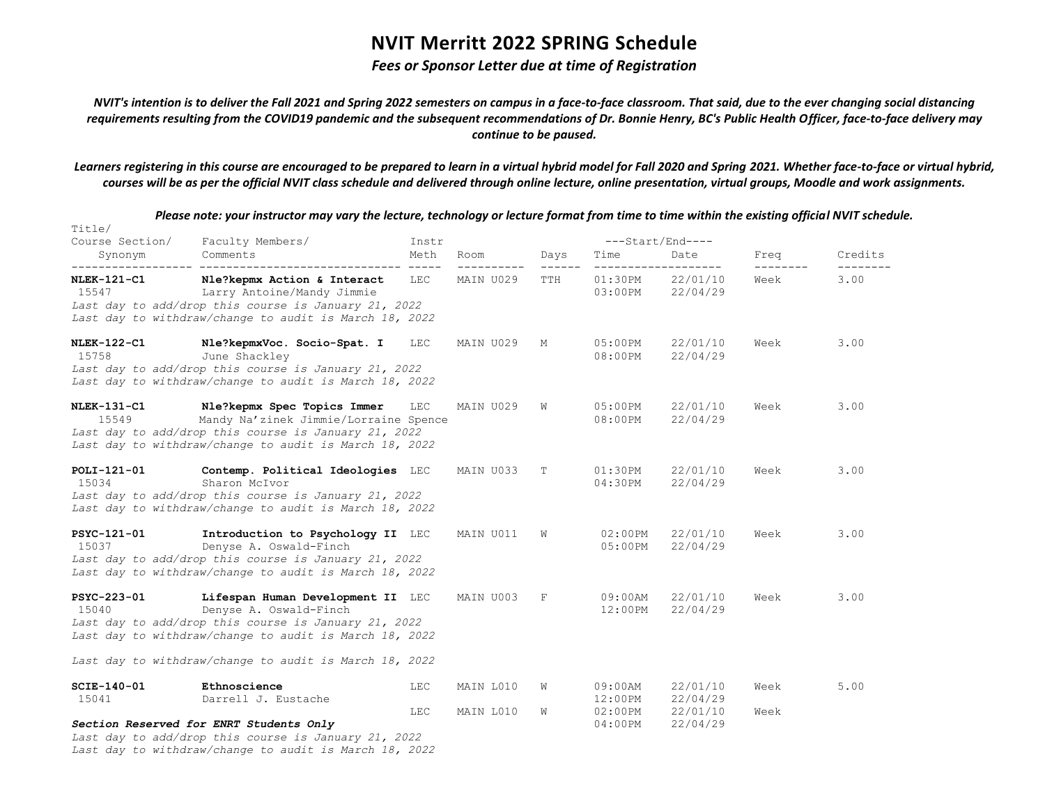#### *Fees or Sponsor Letter due at time of Registration*

*NVIT's intention is to deliver the Fall 2021 and Spring 2022 semesters on campus in a face-to-face classroom. That said, due to the ever changing social distancing requirements resulting from the COVID19 pandemic and the subsequent recommendations of Dr. Bonnie Henry, BC's Public Health Officer, face-to-face delivery may continue to be paused.*

*Learners registering in this course are encouraged to be prepared to learn in a virtual hybrid model for Fall 2020 and Spring 2021. Whether face-to-face or virtual hybrid, courses will be as per the official NVIT class schedule and delivered through online lecture, online presentation, virtual groups, Moodle and work assignments.*

*Please note: your instructor may vary the lecture, technology or lecture format from time to time within the existing official NVIT schedule.* Title/ Course Section/ Faculty Members/ Instr ---Start/End---- Synonym Comments Meth Room Days Time Date Freq Credits ------------------ ------------------------------ ----- ---------- ------ ------------------- -------- -------- **NLEK-121-C1 Nle?kepmx Action & Interact** LEC MAIN U029 TTH 01:30PM 22/01/10 Week 3.00 15547 Larry Antoine/Mandy Jimmie 03:00PM 22/04/29 *Last day to add/drop this course is January 21, 2022 Last day to withdraw/change to audit is March 18, 2022* **NLEK-122-C1 Nle?kepmxVoc. Socio-Spat. I** LEC MAIN U029 M 05:00PM 22/01/10 Week 3.00 15758 June Shackley 08:00PM 22/04/29 *Last day to add/drop this course is January 21, 2022 Last day to withdraw/change to audit is March 18, 2022* **NLEK-131-C1 Nle?kepmx Spec Topics Immer** LEC MAIN U029 W 05:00PM 22/01/10 Week 3.00 15549 Mandy Na'zinek Jimmie/Lorraine Spence 08:00PM 22/04/29 *Last day to add/drop this course is January 21, 2022 Last day to withdraw/change to audit is March 18, 2022* **POLI-121-01 Contemp. Political Ideologies** LEC MAIN U033 T 01:30PM 22/01/10 Week 3.00 15034 Sharon McIvor 04:30PM 22/04/29 *Last day to add/drop this course is January 21, 2022 Last day to withdraw/change to audit is March 18, 2022* **PSYC-121-01 Introduction to Psychology II** LEC MAIN U011 W 02:00PM 22/01/10 Week 3.00 15037 Denyse A. Oswald-Finch 05:00PM 22/04/29 *Last day to add/drop this course is January 21, 2022 Last day to withdraw/change to audit is March 18, 2022* **PSYC-223-01 Lifespan Human Development II** LEC MAIN U003 F 09:00AM 22/01/10 Week 3.00 15040 Denyse A. Oswald-Finch 12:00PM 22/04/29 *Last day to add/drop this course is January 21, 2022 Last day to withdraw/change to audit is March 18, 2022 Last day to withdraw/change to audit is March 18, 2022* **SCIE-140-01 Ethnoscience** LEC MAIN L010 W 09:00AM 22/01/10 Week 5.00 15041 Darrell J. Eustache 12:00PM 22/04/29 LEC MAIN L010 W 02:00PM 22/01/10 Week *Section Reserved for ENRT Students Only* 04:00PM 22/04/29 *Last day to add/drop this course is January 21, 2022 Last day to withdraw/change to audit is March 18, 2022*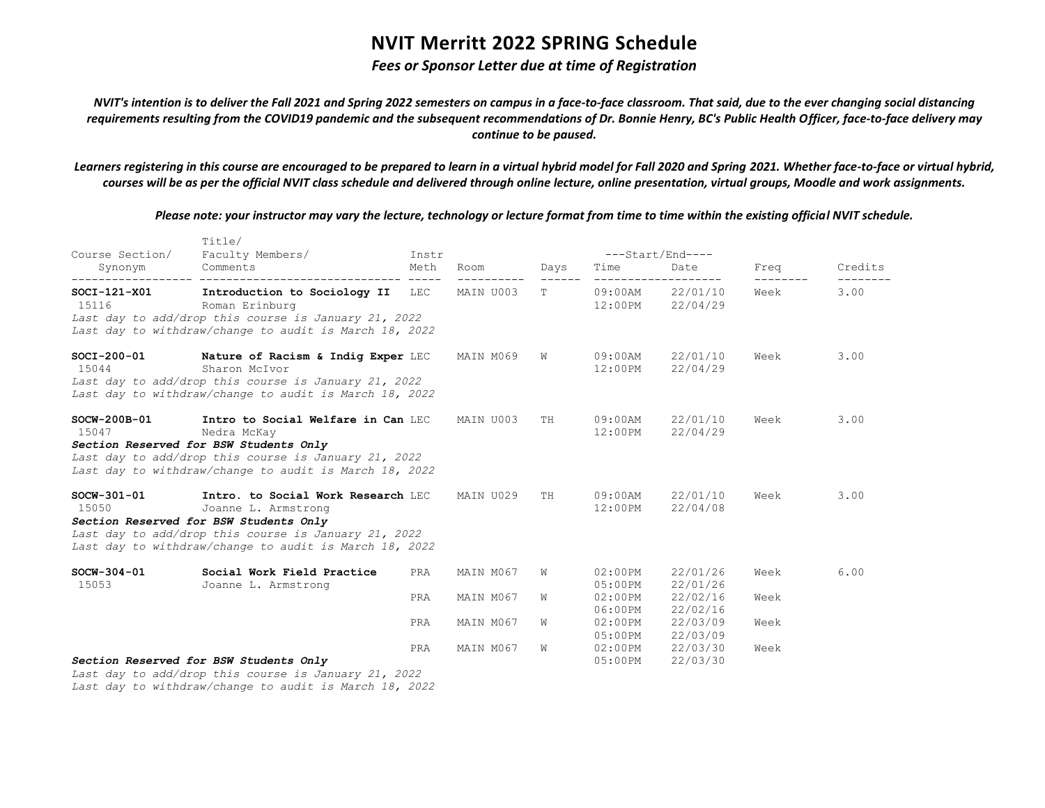### *Fees or Sponsor Letter due at time of Registration*

*NVIT's intention is to deliver the Fall 2021 and Spring 2022 semesters on campus in a face-to-face classroom. That said, due to the ever changing social distancing requirements resulting from the COVID19 pandemic and the subsequent recommendations of Dr. Bonnie Henry, BC's Public Health Officer, face-to-face delivery may continue to be paused.*

*Learners registering in this course are encouraged to be prepared to learn in a virtual hybrid model for Fall 2020 and Spring 2021. Whether face-to-face or virtual hybrid, courses will be as per the official NVIT class schedule and delivered through online lecture, online presentation, virtual groups, Moodle and work assignments.*

*Please note: your instructor may vary the lecture, technology or lecture format from time to time within the existing official NVIT schedule.*

| Course Section/         | Title/<br>Faculty Members/                                                                                                                                                                                                               | Instr |           |           | ---Start/End----         |                                      |      |                     |  |
|-------------------------|------------------------------------------------------------------------------------------------------------------------------------------------------------------------------------------------------------------------------------------|-------|-----------|-----------|--------------------------|--------------------------------------|------|---------------------|--|
| Synonym                 | Comments                                                                                                                                                                                                                                 | Meth  | Room      | Days      | Time                     | Date                                 | Freq | Credits<br>-------- |  |
| $SOCI-121-X01$<br>15116 | Introduction to Sociology II LEC MAIN U003<br>Roman Erinburg<br>Last day to add/drop this course is January 21, 2022<br>Last day to withdraw/change to audit is March 18, 2022                                                           |       |           | T.        |                          | 09:00AM 22/01/10<br>12:00PM 22/04/29 | Week | 3.00                |  |
| 15044                   | SOCI-200-01 Nature of Racism & Indig Exper LEC<br>Sharon McIvor<br>Last day to add/drop this course is January 21, 2022<br>Last day to withdraw/change to audit is March 18, 2022                                                        |       | MAIN M069 | W         | 12:00PM                  | 09:00AM 22/01/10<br>22/04/29         | Week | 3.00                |  |
| SOCW-200B-01<br>15047   | Intro to Social Welfare in Can LEC<br>Nedra McKay<br>Section Reserved for BSW Students Only<br>Last day to add/drop this course is January 21, 2022<br>Last day to withdraw/change to audit is March 18, 2022                            |       | MAIN U003 | <b>TH</b> | 09:00AM<br>$12:00$ PM    | 22/01/10<br>22/04/29                 | Week | 3.00                |  |
| 15050                   | SOCW-301-01 <b>Intro. to Social Work Research LEC</b><br>Joanne L. Armstrong<br>Section Reserved for BSW Students Only<br>Last day to add/drop this course is January 21, 2022<br>Last day to withdraw/change to audit is March 18, 2022 |       | MAIN U029 | TH        | $12:00$ PM               | 09:00AM 22/01/10<br>22/04/08         | Week | 3.00                |  |
| $SOCW-304-01$<br>15053  | Social Work Field Practice<br>Joanne L. Armstrong                                                                                                                                                                                        | PRA   | MAIN M067 | W         | $02:00$ PM<br>$05:00$ PM | 22/01/26<br>22/01/26                 | Week | 6.00                |  |
|                         |                                                                                                                                                                                                                                          | PRA   | MAIN M067 | W         | $02:00$ PM<br>06:00PM    | 22/02/16<br>22/02/16                 | Week |                     |  |
|                         |                                                                                                                                                                                                                                          | PRA   | MAIN M067 | W         |                          | 02:00PM 22/03/09<br>05:00PM 22/03/09 | Week |                     |  |
|                         | Section Reserved for BSW Students Only<br>Last day to add/drop this course is January 21, 2022                                                                                                                                           | PRA   | MAIN M067 | W         | 05:00PM                  | 02:00PM 22/03/30<br>22/03/30         | Week |                     |  |

*Last day to withdraw/change to audit is March 18, 2022*